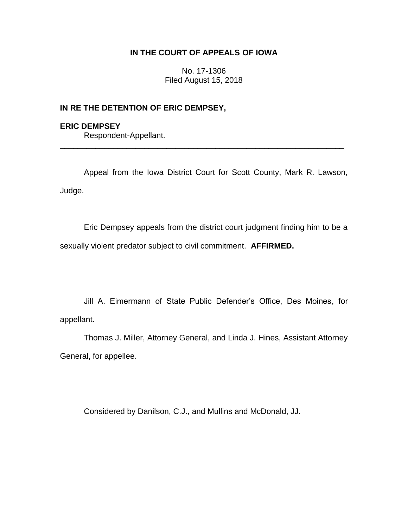# **IN THE COURT OF APPEALS OF IOWA**

No. 17-1306 Filed August 15, 2018

## **IN RE THE DETENTION OF ERIC DEMPSEY,**

## **ERIC DEMPSEY**

Respondent-Appellant.

Appeal from the Iowa District Court for Scott County, Mark R. Lawson, Judge.

\_\_\_\_\_\_\_\_\_\_\_\_\_\_\_\_\_\_\_\_\_\_\_\_\_\_\_\_\_\_\_\_\_\_\_\_\_\_\_\_\_\_\_\_\_\_\_\_\_\_\_\_\_\_\_\_\_\_\_\_\_\_\_\_

Eric Dempsey appeals from the district court judgment finding him to be a sexually violent predator subject to civil commitment. **AFFIRMED.**

Jill A. Eimermann of State Public Defender's Office, Des Moines, for appellant.

Thomas J. Miller, Attorney General, and Linda J. Hines, Assistant Attorney General, for appellee.

Considered by Danilson, C.J., and Mullins and McDonald, JJ.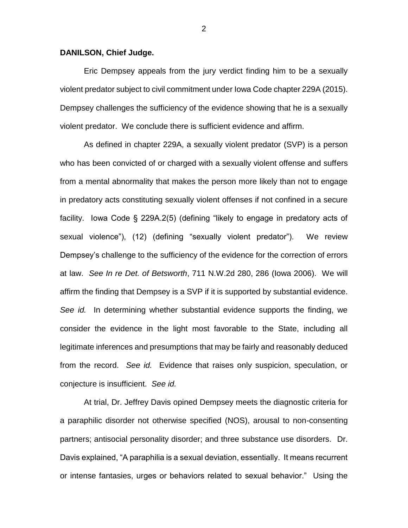#### **DANILSON, Chief Judge.**

Eric Dempsey appeals from the jury verdict finding him to be a sexually violent predator subject to civil commitment under Iowa Code chapter 229A (2015). Dempsey challenges the sufficiency of the evidence showing that he is a sexually violent predator. We conclude there is sufficient evidence and affirm.

As defined in chapter 229A, a sexually violent predator (SVP) is a person who has been convicted of or charged with a sexually violent offense and suffers from a mental abnormality that makes the person more likely than not to engage in predatory acts constituting sexually violent offenses if not confined in a secure facility. Iowa Code § 229A.2(5) (defining "likely to engage in predatory acts of sexual violence"), (12) (defining "sexually violent predator"). We review Dempsey's challenge to the sufficiency of the evidence for the correction of errors at law. *See In re Det. of Betsworth*, 711 N.W.2d 280, 286 (Iowa 2006). We will affirm the finding that Dempsey is a SVP if it is supported by substantial evidence. *See id.* In determining whether substantial evidence supports the finding, we consider the evidence in the light most favorable to the State, including all legitimate inferences and presumptions that may be fairly and reasonably deduced from the record. *See id.* Evidence that raises only suspicion, speculation, or conjecture is insufficient. *See id.*

At trial, Dr. Jeffrey Davis opined Dempsey meets the diagnostic criteria for a paraphilic disorder not otherwise specified (NOS), arousal to non-consenting partners; antisocial personality disorder; and three substance use disorders. Dr. Davis explained, "A paraphilia is a sexual deviation, essentially. It means recurrent or intense fantasies, urges or behaviors related to sexual behavior." Using the

2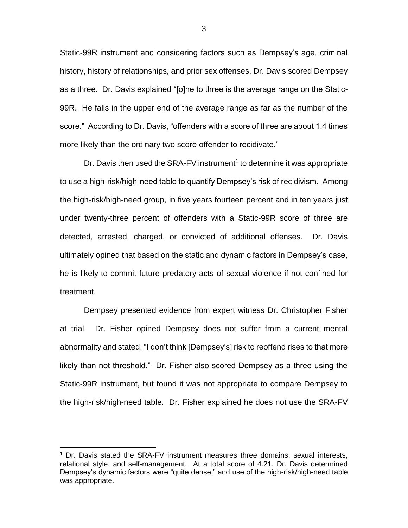Static-99R instrument and considering factors such as Dempsey's age, criminal history, history of relationships, and prior sex offenses, Dr. Davis scored Dempsey as a three. Dr. Davis explained "[o]ne to three is the average range on the Static-99R. He falls in the upper end of the average range as far as the number of the score." According to Dr. Davis, "offenders with a score of three are about 1.4 times more likely than the ordinary two score offender to recidivate."

Dr. Davis then used the SRA-FV instrument<sup>1</sup> to determine it was appropriate to use a high-risk/high-need table to quantify Dempsey's risk of recidivism. Among the high-risk/high-need group, in five years fourteen percent and in ten years just under twenty-three percent of offenders with a Static-99R score of three are detected, arrested, charged, or convicted of additional offenses. Dr. Davis ultimately opined that based on the static and dynamic factors in Dempsey's case, he is likely to commit future predatory acts of sexual violence if not confined for treatment.

Dempsey presented evidence from expert witness Dr. Christopher Fisher at trial. Dr. Fisher opined Dempsey does not suffer from a current mental abnormality and stated, "I don't think [Dempsey's] risk to reoffend rises to that more likely than not threshold." Dr. Fisher also scored Dempsey as a three using the Static-99R instrument, but found it was not appropriate to compare Dempsey to the high-risk/high-need table. Dr. Fisher explained he does not use the SRA-FV

 $\overline{a}$ 

 $1$  Dr. Davis stated the SRA-FV instrument measures three domains: sexual interests, relational style, and self-management. At a total score of 4.21, Dr. Davis determined Dempsey's dynamic factors were "quite dense," and use of the high-risk/high-need table was appropriate.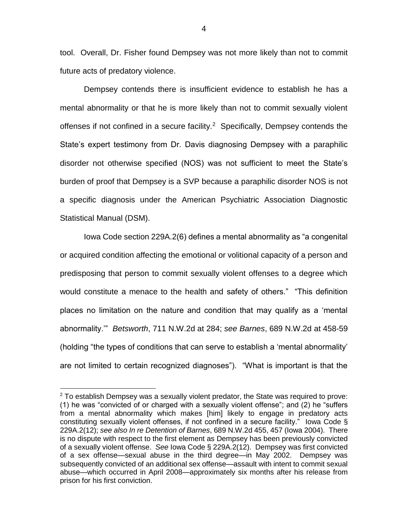tool. Overall, Dr. Fisher found Dempsey was not more likely than not to commit future acts of predatory violence.

Dempsey contends there is insufficient evidence to establish he has a mental abnormality or that he is more likely than not to commit sexually violent offenses if not confined in a secure facility.<sup>2</sup> Specifically, Dempsey contends the State's expert testimony from Dr. Davis diagnosing Dempsey with a paraphilic disorder not otherwise specified (NOS) was not sufficient to meet the State's burden of proof that Dempsey is a SVP because a paraphilic disorder NOS is not a specific diagnosis under the American Psychiatric Association Diagnostic Statistical Manual (DSM).

Iowa Code section 229A.2(6) defines a mental abnormality as "a congenital or acquired condition affecting the emotional or volitional capacity of a person and predisposing that person to commit sexually violent offenses to a degree which would constitute a menace to the health and safety of others." "This definition places no limitation on the nature and condition that may qualify as a 'mental abnormality.'" *Betsworth*, 711 N.W.2d at 284; *see Barnes*, 689 N.W.2d at 458-59 (holding "the types of conditions that can serve to establish a 'mental abnormality' are not limited to certain recognized diagnoses"). "What is important is that the

 $\overline{a}$ 

 $2$  To establish Dempsey was a sexually violent predator, the State was required to prove: (1) he was "convicted of or charged with a sexually violent offense"; and (2) he "suffers from a mental abnormality which makes [him] likely to engage in predatory acts constituting sexually violent offenses, if not confined in a secure facility." Iowa Code § 229A.2(12); *see also In re Detention of Barnes*, 689 N.W.2d 455, 457 (Iowa 2004). There is no dispute with respect to the first element as Dempsey has been previously convicted of a sexually violent offense. *See* Iowa Code § 229A.2(12). Dempsey was first convicted of a sex offense—sexual abuse in the third degree—in May 2002. Dempsey was subsequently convicted of an additional sex offense—assault with intent to commit sexual abuse—which occurred in April 2008—approximately six months after his release from prison for his first conviction.